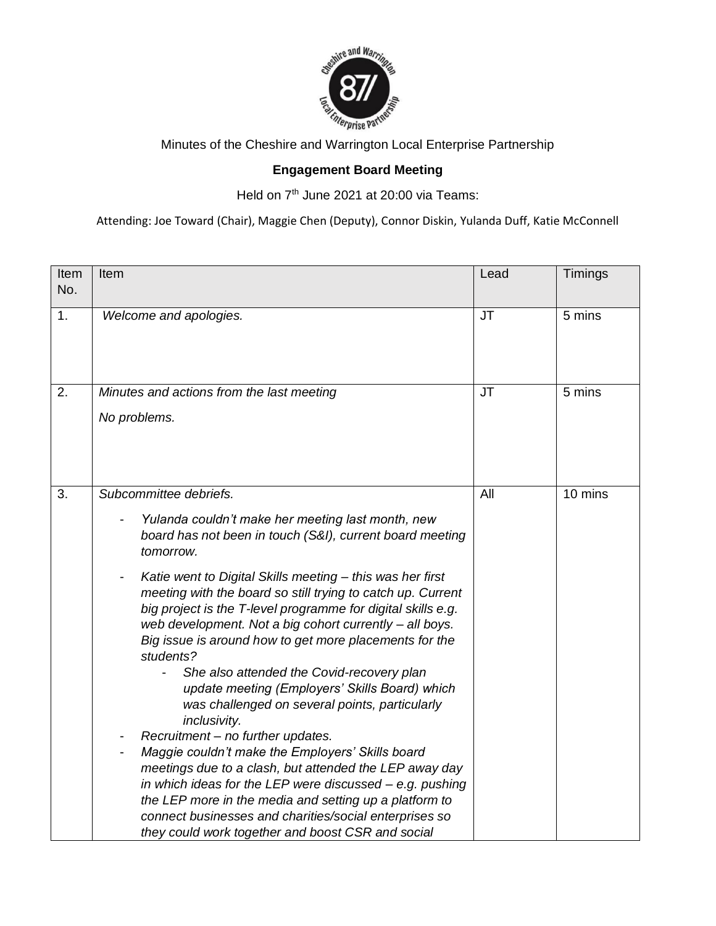

Minutes of the Cheshire and Warrington Local Enterprise Partnership

## **Engagement Board Meeting**

Held on 7<sup>th</sup> June 2021 at 20:00 via Teams:

Attending: Joe Toward (Chair), Maggie Chen (Deputy), Connor Diskin, Yulanda Duff, Katie McConnell

| Item<br>No. | Item                                                                                                                                                                                                                                                                                                                                                                                                                                                                                                                                                                                                                                                                                                                                                                                                                                                                                                                                                                                                                                          | Lead      | Timings |
|-------------|-----------------------------------------------------------------------------------------------------------------------------------------------------------------------------------------------------------------------------------------------------------------------------------------------------------------------------------------------------------------------------------------------------------------------------------------------------------------------------------------------------------------------------------------------------------------------------------------------------------------------------------------------------------------------------------------------------------------------------------------------------------------------------------------------------------------------------------------------------------------------------------------------------------------------------------------------------------------------------------------------------------------------------------------------|-----------|---------|
| 1.          | Welcome and apologies.                                                                                                                                                                                                                                                                                                                                                                                                                                                                                                                                                                                                                                                                                                                                                                                                                                                                                                                                                                                                                        | <b>JT</b> | 5 mins  |
| 2.          | Minutes and actions from the last meeting<br>No problems.                                                                                                                                                                                                                                                                                                                                                                                                                                                                                                                                                                                                                                                                                                                                                                                                                                                                                                                                                                                     | <b>JT</b> | 5 mins  |
| 3.          | Subcommittee debriefs.<br>Yulanda couldn't make her meeting last month, new<br>board has not been in touch (S&I), current board meeting<br>tomorrow.<br>Katie went to Digital Skills meeting - this was her first<br>meeting with the board so still trying to catch up. Current<br>big project is the T-level programme for digital skills e.g.<br>web development. Not a big cohort currently - all boys.<br>Big issue is around how to get more placements for the<br>students?<br>She also attended the Covid-recovery plan<br>update meeting (Employers' Skills Board) which<br>was challenged on several points, particularly<br>inclusivity.<br>Recruitment - no further updates.<br>Maggie couldn't make the Employers' Skills board<br>meetings due to a clash, but attended the LEP away day<br>in which ideas for the LEP were discussed $-$ e.g. pushing<br>the LEP more in the media and setting up a platform to<br>connect businesses and charities/social enterprises so<br>they could work together and boost CSR and social | All       | 10 mins |